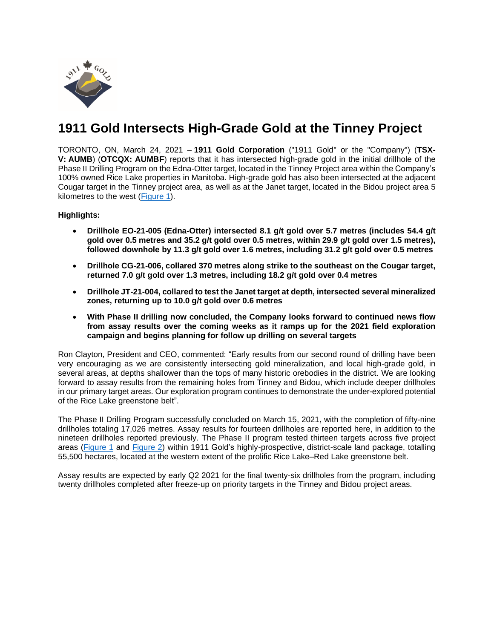

# **1911 Gold Intersects High-Grade Gold at the Tinney Project**

TORONTO, ON, March 24, 2021 – **1911 Gold Corporation** ("1911 Gold" or the "Company") (**TSX-V: AUMB**) (**OTCQX: AUMBF**) reports that it has intersected high-grade gold in the initial drillhole of the Phase II Drilling Program on the Edna-Otter target, located in the Tinney Project area within the Company's 100% owned Rice Lake properties in Manitoba. High-grade gold has also been intersected at the adjacent Cougar target in the Tinney project area, as well as at the Janet target, located in the Bidou project area 5 kilometres to the west [\(Figure](https://www.1911gold.com/_resources/news/AUMB-NR-Mar-2021-Figure-1.pdf) 1).

**Highlights:**

- **Drillhole EO-21-005 (Edna-Otter) intersected 8.1 g/t gold over 5.7 metres (includes 54.4 g/t gold over 0.5 metres and 35.2 g/t gold over 0.5 metres, within 29.9 g/t gold over 1.5 metres), followed downhole by 11.3 g/t gold over 1.6 metres, including 31.2 g/t gold over 0.5 metres**
- **Drillhole CG-21-006, collared 370 metres along strike to the southeast on the Cougar target, returned 7.0 g/t gold over 1.3 metres, including 18.2 g/t gold over 0.4 metres**
- **Drillhole JT-21-004, collared to test the Janet target at depth, intersected several mineralized zones, returning up to 10.0 g/t gold over 0.6 metres**
- **With Phase II drilling now concluded, the Company looks forward to continued news flow from assay results over the coming weeks as it ramps up for the 2021 field exploration campaign and begins planning for follow up drilling on several targets**

Ron Clayton, President and CEO, commented: "Early results from our second round of drilling have been very encouraging as we are consistently intersecting gold mineralization, and local high-grade gold, in several areas, at depths shallower than the tops of many historic orebodies in the district. We are looking forward to assay results from the remaining holes from Tinney and Bidou, which include deeper drillholes in our primary target areas. Our exploration program continues to demonstrate the under-explored potential of the Rice Lake greenstone belt".

The Phase II Drilling Program successfully concluded on March 15, 2021, with the completion of fifty-nine drillholes totaling 17,026 metres. Assay results for fourteen drillholes are reported here, in addition to the nineteen drillholes reported previously. The Phase II program tested thirteen targets across five project areas [\(Figure](https://www.1911gold.com/_resources/news/AUMB-NR-Mar-2021-Figure-1.pdf) 1 and [Figure](https://www.1911gold.com/_resources/news/AUMB-NR-Mar-2021-Figure-2.pdf) 2) within 1911 Gold's highly-prospective, district-scale land package, totalling 55,500 hectares, located at the western extent of the prolific Rice Lake–Red Lake greenstone belt.

Assay results are expected by early Q2 2021 for the final twenty-six drillholes from the program, including twenty drillholes completed after freeze-up on priority targets in the Tinney and Bidou project areas.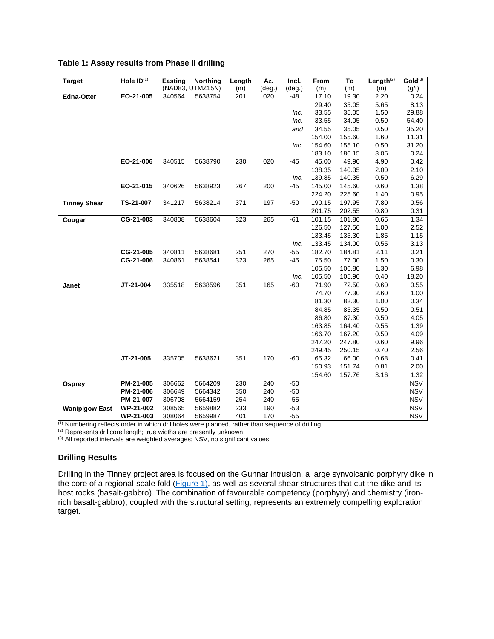| Table 1: Assay results from Phase II drilling |  |  |  |  |  |  |
|-----------------------------------------------|--|--|--|--|--|--|
|-----------------------------------------------|--|--|--|--|--|--|

| <b>Target</b>         | Hole $ID^{(1)}$ | <b>Easting</b> | <b>Northing</b>  | Length | Az.    | Incl.  | From   | To     | Length $^{(2)}$ | Gold <sup>(3)</sup> |
|-----------------------|-----------------|----------------|------------------|--------|--------|--------|--------|--------|-----------------|---------------------|
|                       |                 |                | (NAD83, UTMZ15N) | (m)    | (deg.) | (deg.) | (m)    | (m)    | (m)             | (g/t)               |
| <b>Edna-Otter</b>     | EO-21-005       | 340564         | 5638754          | 201    | 020    | -48    | 17.10  | 19.30  | 2.20            | 0.24                |
|                       |                 |                |                  |        |        |        | 29.40  | 35.05  | 5.65            | 8.13                |
|                       |                 |                |                  |        |        | Inc.   | 33.55  | 35.05  | 1.50            | 29.88               |
|                       |                 |                |                  |        |        | Inc.   | 33.55  | 34.05  | 0.50            | 54.40               |
|                       |                 |                |                  |        |        | and    | 34.55  | 35.05  | 0.50            | 35.20               |
|                       |                 |                |                  |        |        |        | 154.00 | 155.60 | 1.60            | 11.31               |
|                       |                 |                |                  |        |        | Inc.   | 154.60 | 155.10 | 0.50            | 31.20               |
|                       |                 |                |                  |        |        |        | 183.10 | 186.15 | 3.05            | 0.24                |
|                       | EO-21-006       | 340515         | 5638790          | 230    | 020    | $-45$  | 45.00  | 49.90  | 4.90            | 0.42                |
|                       |                 |                |                  |        |        |        | 138.35 | 140.35 | 2.00            | 2.10                |
|                       |                 |                |                  |        |        | Inc.   | 139.85 | 140.35 | 0.50            | 6.29                |
|                       | EO-21-015       | 340626         | 5638923          | 267    | 200    | $-45$  | 145.00 | 145.60 | 0.60            | 1.38                |
|                       |                 |                |                  |        |        |        | 224.20 | 225.60 | 1.40            | 0.95                |
| <b>Tinney Shear</b>   | TS-21-007       | 341217         | 5638214          | 371    | 197    | $-50$  | 190.15 | 197.95 | 7.80            | 0.56                |
|                       |                 |                |                  |        |        |        | 201.75 | 202.55 | 0.80            | 0.31                |
| Cougar                | CG-21-003       | 340808         | 5638604          | 323    | 265    | $-61$  | 101.15 | 101.80 | 0.65            | 1.34                |
|                       |                 |                |                  |        |        |        | 126.50 | 127.50 | 1.00            | 2.52                |
|                       |                 |                |                  |        |        |        | 133.45 | 135.30 | 1.85            | 1.15                |
|                       |                 |                |                  |        |        | Inc.   | 133.45 | 134.00 | 0.55            | 3.13                |
|                       | CG-21-005       | 340811         | 5638681          | 251    | 270    | $-55$  | 182.70 | 184.81 | 2.11            | 0.21                |
|                       | CG-21-006       | 340861         | 5638541          | 323    | 265    | $-45$  | 75.50  | 77.00  | 1.50            | 0.30                |
|                       |                 |                |                  |        |        |        | 105.50 | 106.80 | 1.30            | 6.98                |
|                       |                 |                |                  |        |        | Inc.   | 105.50 | 105.90 | 0.40            | 18.20               |
| Janet                 | JT-21-004       | 335518         | 5638596          | 351    | 165    | $-60$  | 71.90  | 72.50  | 0.60            | 0.55                |
|                       |                 |                |                  |        |        |        | 74.70  | 77.30  | 2.60            | 1.00                |
|                       |                 |                |                  |        |        |        | 81.30  | 82.30  | 1.00            | 0.34                |
|                       |                 |                |                  |        |        |        | 84.85  | 85.35  | 0.50            | 0.51                |
|                       |                 |                |                  |        |        |        | 86.80  | 87.30  | 0.50            | 4.05                |
|                       |                 |                |                  |        |        |        | 163.85 | 164.40 | 0.55            | 1.39                |
|                       |                 |                |                  |        |        |        | 166.70 | 167.20 | 0.50            | 4.09                |
|                       |                 |                |                  |        |        |        | 247.20 | 247.80 | 0.60            | 9.96                |
|                       |                 |                |                  |        |        |        | 249.45 | 250.15 | 0.70            | 2.56                |
|                       | JT-21-005       | 335705         | 5638621          | 351    | 170    | $-60$  | 65.32  | 66.00  | 0.68            | 0.41                |
|                       |                 |                |                  |        |        |        | 150.93 | 151.74 | 0.81            | 2.00                |
|                       |                 |                |                  |        |        |        | 154.60 | 157.76 | 3.16            | 1.32                |
| Osprey                | PM-21-005       | 306662         | 5664209          | 230    | 240    | $-50$  |        |        |                 | <b>NSV</b>          |
|                       | PM-21-006       | 306649         | 5664342          | 350    | 240    | $-50$  |        |        |                 | <b>NSV</b>          |
|                       | PM-21-007       | 306708         | 5664159          | 254    | 240    | $-55$  |        |        |                 | <b>NSV</b>          |
| <b>Wanipigow East</b> | WP-21-002       | 308565         | 5659882          | 233    | 190    | $-53$  |        |        |                 | <b>NSV</b>          |
|                       | WP-21-003       | 308064         | 5659987          | 401    | 170    | $-55$  |        |        |                 | <b>NSV</b>          |

 $<sup>(1)</sup>$  Numbering reflects order in which drillholes were planned, rather than sequence of drilling</sup>

(2) Represents drillcore length; true widths are presently unknown

(3) All reported intervals are weighted averages; NSV, no significant values

# **Drilling Results**

Drilling in the Tinney project area is focused on the Gunnar intrusion, a large synvolcanic porphyry dike in the core of a regional-scale fold  $(Figure 1)$  $(Figure 1)$ , as well as several shear structures that cut the dike and its host rocks (basalt-gabbro). The combination of favourable competency (porphyry) and chemistry (ironrich basalt-gabbro), coupled with the structural setting, represents an extremely compelling exploration target.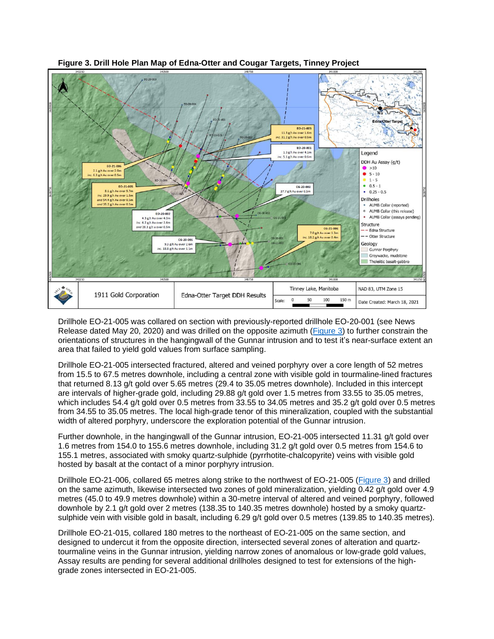

**Figure 3. Drill Hole Plan Map of Edna-Otter and Cougar Targets, Tinney Project**

Drillhole EO-21-005 was collared on section with previously-reported drillhole EO-20-001 (see News Release dated May 20, 2020) and was drilled on the opposite azimuth [\(Figure 3\)](https://www.1911gold.com/_resources/news/AUMB-NR-Mar-2021-Figure-3.pdf) to further constrain the orientations of structures in the hangingwall of the Gunnar intrusion and to test it's near-surface extent an area that failed to yield gold values from surface sampling.

Drillhole EO-21-005 intersected fractured, altered and veined porphyry over a core length of 52 metres from 15.5 to 67.5 metres downhole, including a central zone with visible gold in tourmaline-lined fractures that returned 8.13 g/t gold over 5.65 metres (29.4 to 35.05 metres downhole). Included in this intercept are intervals of higher-grade gold, including 29.88 g/t gold over 1.5 metres from 33.55 to 35.05 metres, which includes 54.4 g/t gold over 0.5 metres from 33.55 to 34.05 metres and 35.2 g/t gold over 0.5 metres from 34.55 to 35.05 metres. The local high-grade tenor of this mineralization, coupled with the substantial width of altered porphyry, underscore the exploration potential of the Gunnar intrusion.

Further downhole, in the hangingwall of the Gunnar intrusion, EO-21-005 intersected 11.31 g/t gold over 1.6 metres from 154.0 to 155.6 metres downhole, including 31.2 g/t gold over 0.5 metres from 154.6 to 155.1 metres, associated with smoky quartz-sulphide (pyrrhotite-chalcopyrite) veins with visible gold hosted by basalt at the contact of a minor porphyry intrusion.

Drillhole EO-21-006, collared 65 metres along strike to the northwest of EO-21-005 [\(Figure 3\)](https://www.1911gold.com/_resources/news/AUMB-NR-Mar-2021-Figure-3.pdf) and drilled on the same azimuth, likewise intersected two zones of gold mineralization, yielding 0.42 g/t gold over 4.9 metres (45.0 to 49.9 metres downhole) within a 30-metre interval of altered and veined porphyry, followed downhole by 2.1 g/t gold over 2 metres (138.35 to 140.35 metres downhole) hosted by a smoky quartzsulphide vein with visible gold in basalt, including 6.29 g/t gold over 0.5 metres (139.85 to 140.35 metres).

Drillhole EO-21-015, collared 180 metres to the northeast of EO-21-005 on the same section, and designed to undercut it from the opposite direction, intersected several zones of alteration and quartztourmaline veins in the Gunnar intrusion, yielding narrow zones of anomalous or low-grade gold values, Assay results are pending for several additional drillholes designed to test for extensions of the highgrade zones intersected in EO-21-005.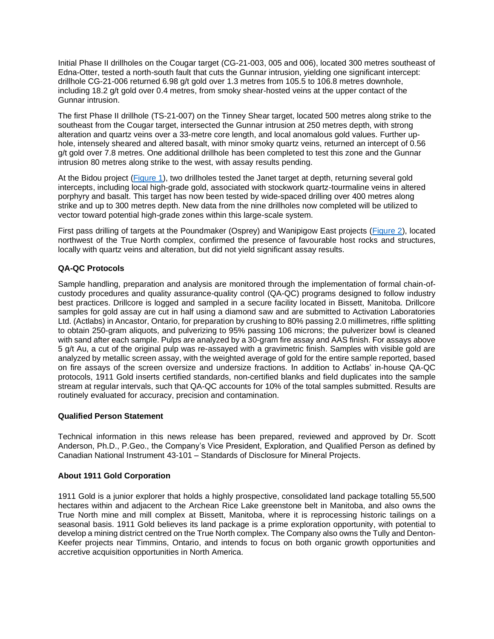Initial Phase II drillholes on the Cougar target (CG-21-003, 005 and 006), located 300 metres southeast of Edna-Otter, tested a north-south fault that cuts the Gunnar intrusion, yielding one significant intercept: drillhole CG-21-006 returned 6.98 g/t gold over 1.3 metres from 105.5 to 106.8 metres downhole, including 18.2 g/t gold over 0.4 metres, from smoky shear-hosted veins at the upper contact of the Gunnar intrusion.

The first Phase II drillhole (TS-21-007) on the Tinney Shear target, located 500 metres along strike to the southeast from the Cougar target, intersected the Gunnar intrusion at 250 metres depth, with strong alteration and quartz veins over a 33-metre core length, and local anomalous gold values. Further uphole, intensely sheared and altered basalt, with minor smoky quartz veins, returned an intercept of 0.56 g/t gold over 7.8 metres. One additional drillhole has been completed to test this zone and the Gunnar intrusion 80 metres along strike to the west, with assay results pending.

At the Bidou project [\(Figure](https://www.1911gold.com/_resources/news/AUMB-NR-Mar-2021-Figure-1.pdf) 1), two drillholes tested the Janet target at depth, returning several gold intercepts, including local high-grade gold, associated with stockwork quartz-tourmaline veins in altered porphyry and basalt. This target has now been tested by wide-spaced drilling over 400 metres along strike and up to 300 metres depth. New data from the nine drillholes now completed will be utilized to vector toward potential high-grade zones within this large-scale system.

First pass drilling of targets at the Poundmaker (Osprey) and Wanipigow East projects [\(Figure](https://www.1911gold.com/_resources/news/AUMB-NR-Mar-2021-Figure-2.pdf) 2), located northwest of the True North complex, confirmed the presence of favourable host rocks and structures, locally with quartz veins and alteration, but did not yield significant assay results.

## **QA-QC Protocols**

Sample handling, preparation and analysis are monitored through the implementation of formal chain-ofcustody procedures and quality assurance-quality control (QA-QC) programs designed to follow industry best practices. Drillcore is logged and sampled in a secure facility located in Bissett, Manitoba. Drillcore samples for gold assay are cut in half using a diamond saw and are submitted to Activation Laboratories Ltd. (Actlabs) in Ancastor, Ontario, for preparation by crushing to 80% passing 2.0 millimetres, riffle splitting to obtain 250-gram aliquots, and pulverizing to 95% passing 106 microns; the pulverizer bowl is cleaned with sand after each sample. Pulps are analyzed by a 30-gram fire assay and AAS finish. For assays above 5 g/t Au, a cut of the original pulp was re-assayed with a gravimetric finish. Samples with visible gold are analyzed by metallic screen assay, with the weighted average of gold for the entire sample reported, based on fire assays of the screen oversize and undersize fractions. In addition to Actlabs' in-house QA-QC protocols, 1911 Gold inserts certified standards, non-certified blanks and field duplicates into the sample stream at regular intervals, such that QA-QC accounts for 10% of the total samples submitted. Results are routinely evaluated for accuracy, precision and contamination.

#### **Qualified Person Statement**

Technical information in this news release has been prepared, reviewed and approved by Dr. Scott Anderson, Ph.D., P.Geo., the Company's Vice President, Exploration, and Qualified Person as defined by Canadian National Instrument 43-101 – Standards of Disclosure for Mineral Projects.

#### **About 1911 Gold Corporation**

1911 Gold is a junior explorer that holds a highly prospective, consolidated land package totalling 55,500 hectares within and adjacent to the Archean Rice Lake greenstone belt in Manitoba, and also owns the True North mine and mill complex at Bissett, Manitoba, where it is reprocessing historic tailings on a seasonal basis. 1911 Gold believes its land package is a prime exploration opportunity, with potential to develop a mining district centred on the True North complex. The Company also owns the Tully and Denton-Keefer projects near Timmins, Ontario, and intends to focus on both organic growth opportunities and accretive acquisition opportunities in North America.